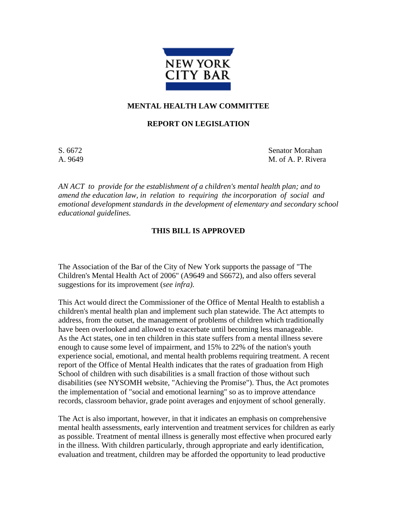

## **MENTAL HEALTH LAW COMMITTEE**

## **REPORT ON LEGISLATION**

S. 6672 Senator Morahan A. 9649 M. of A. P. Rivera

*AN ACT to provide for the establishment of a children's mental health plan; and to amend the education law, in relation to requiring the incorporation of social and emotional development standards in the development of elementary and secondary school educational guidelines.* 

## **THIS BILL IS APPROVED**

The Association of the Bar of the City of New York supports the passage of "The Children's Mental Health Act of 2006" (A9649 and S6672), and also offers several suggestions for its improvement (*see infra)*.

This Act would direct the Commissioner of the Office of Mental Health to establish a children's mental health plan and implement such plan statewide. The Act attempts to address, from the outset, the management of problems of children which traditionally have been overlooked and allowed to exacerbate until becoming less manageable. As the Act states, one in ten children in this state suffers from a mental illness severe enough to cause some level of impairment, and 15% to 22% of the nation's youth experience social, emotional, and mental health problems requiring treatment. A recent report of the Office of Mental Health indicates that the rates of graduation from High School of children with such disabilities is a small fraction of those without such disabilities (see NYSOMH website, "Achieving the Promise"). Thus, the Act promotes the implementation of "social and emotional learning" so as to improve attendance records, classroom behavior, grade point averages and enjoyment of school generally.

The Act is also important, however, in that it indicates an emphasis on comprehensive mental health assessments, early intervention and treatment services for children as early as possible. Treatment of mental illness is generally most effective when procured early in the illness. With children particularly, through appropriate and early identification, evaluation and treatment, children may be afforded the opportunity to lead productive